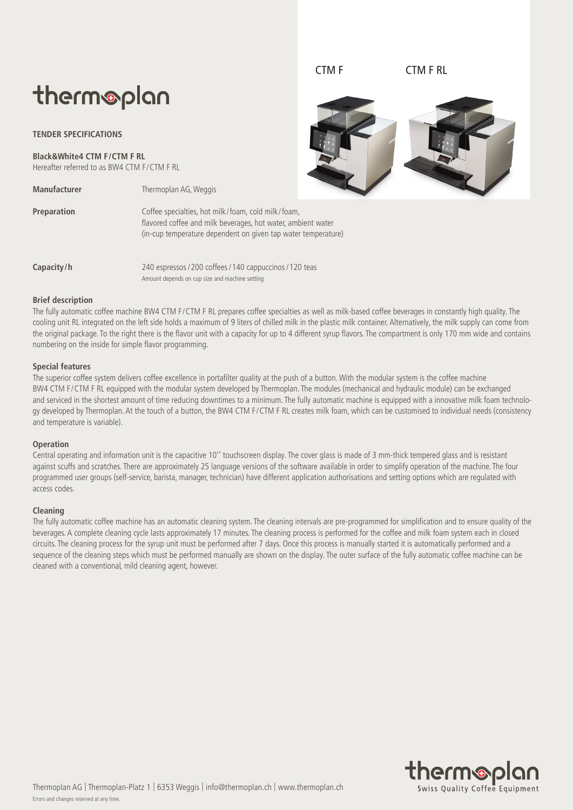# therm®plan

**TENDER SPECIFICATIONS**

**Black&White4 CTM F/CTM F RL** Hereafter referred to as BW4 CTM F/CTM F RL

**Manufacturer** Thermoplan AG, Weggis

CTM F CTM F RL



**Preparation** Coffee specialties, hot milk/foam, cold milk/foam, flavored coffee and milk beverages, hot water, ambient water (in-cup temperature dependent on given tap water temperature)

**Capacity/h** 240 espressos / 200 coffees / 140 cappuccinos / 120 teas Amount depends on cup size and machine setting

## **Brief description**

The fully automatic coffee machine BW4 CTM F/CTM F RL prepares coffee specialties as well as milk-based coffee beverages in constantly high quality. The cooling unit RL integrated on the left side holds a maximum of 9 liters of chilled milk in the plastic milk container. Alternatively, the milk supply can come from the original package. To the right there is the flavor unit with a capacity for up to 4 different syrup flavors. The compartment is only 170 mm wide and contains numbering on the inside for simple flavor programming.

#### **Special features**

The superior coffee system delivers coffee excellence in portafilter quality at the push of a button.With the modular system is the coffee machine BW4 CTM F/CTM F RL equipped with the modular system developed by Thermoplan. The modules (mechanical and hydraulic module) can be exchanged and serviced in the shortest amount of time reducing downtimes to a minimum. The fully automatic machine is equipped with a innovative milk foam technology developed by Thermoplan. At the touch of a button, the BW4 CTM F/CTM F RL creates milk foam, which can be customised to individual needs (consistency and temperature is variable).

#### **Operation**

Central operating and information unit is the capacitive 10'' touchscreen display. The cover glass is made of 3 mm-thick tempered glass and is resistant against scuffs and scratches. There are approximately 25 language versions of the software available in order to simplify operation of the machine. The four programmed user groups (self-service, barista, manager, technician) have different application authorisations and setting options which are regulated with access codes.

### **Cleaning**

The fully automatic coffee machine has an automatic cleaning system. The cleaning intervals are pre-programmed for simplification and to ensure quality of the beverages. A complete cleaning cycle lasts approximately 17 minutes. The cleaning process is performed for the coffee and milk foam system each in closed circuits. The cleaning process for the syrup unit must be performed after 7 days. Once this process is manually started it is automatically performed and a sequence of the cleaning steps which must be performed manually are shown on the display. The outer surface of the fully automatic coffee machine can be cleaned with a conventional, mild cleaning agent, however.